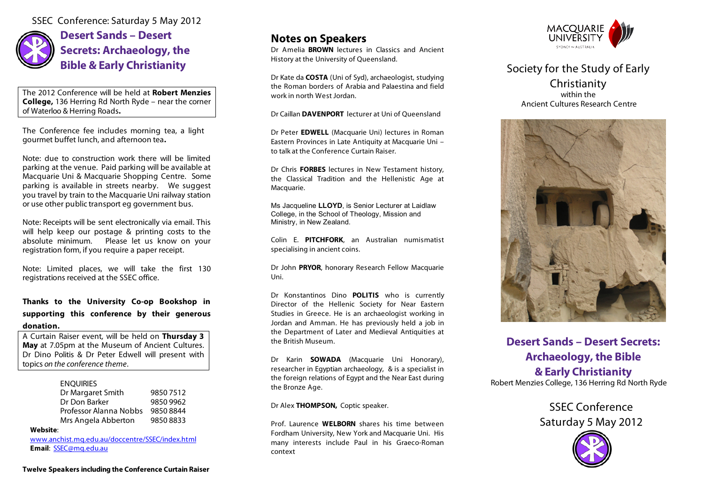SSEC Conference: Saturday 5 May 2012



**Desert Sands – Desert Secrets: Archaeology, the Bible & Early Christianity**

The 2012 Conference will be held at **Robert Menzies College,** 136 Herring Rd North Ryde – near the corner of Waterloo & Herring Roads**.**

The Conference fee includes morning tea, a light gourmet buffet lunch, and afternoon tea**.** 

Note: due to construction work there will be limited parking at the venue. Paid parking will be available at Macquarie Uni & Macquarie Shopping Centre. Some parking is available in streets nearby. We suggest you travel by train to the Macquarie Uni railway station or use other public transport eg government bus.

Note: Receipts will be sent electronically via email. This will help keep our postage & printing costs to the absolute minimum. Please let us know on your registration form, if you require a paper receipt.

Note: Limited places, we will take the first 130 registrations received at the SSEC office.

### **Thanks to the University Co-op Bookshop in supporting this conference by their generous donation.**

A Curtain Raiser event*,* will be held on **Thursday 3 May** at 7.05pm at the Museum of Ancient Cultures. Dr Dino Politis & Dr Peter Edwell will present with topics *on the conference theme*.

### **ENQUIRIES**

| Dr Margaret Smith      | 98507512  |
|------------------------|-----------|
| Dr Don Barker          | 9850 9962 |
| Professor Alanna Nobbs | 98508844  |
| Mrs Angela Abberton    | 98508833  |

#### **Website**:

www.anchist.mq.edu.au/doccentre/SSEC/index.html **Email**: SSEC@mq.edu.au

## **Notes on Speakers**

Dr Amelia **BROWN** lectures in Classics and Ancient History at the University of Queensland.

Dr Kate da **COSTA** (Uni of Syd), archaeologist, studying the Roman borders of Arabia and Palaestina and field work in north West Jordan.

Dr Caillan **DAVENPORT** lecturer at Uni of Queensland

Dr Peter **EDWELL** (Macquarie Uni) lectures in Roman Eastern Provinces in Late Antiquity at Macquarie Uni – to talk at the Conference Curtain Raiser.

Dr Chris **FORBES** lectures in New Testament history, the Classical Tradition and the Hellenistic Age at Macquarie.

Ms Jacqueline **LLOYD**, is Senior Lecturer at Laidlaw College, in the School of Theology, Mission and Ministry, in New Zealand.

Colin E. **PITCHFORK**, an Australian numismatist specialising in ancient coins.

Dr John **PRYOR**, honorary Research Fellow Macquarie Uni.

Dr Konstantinos Dino **POLITIS** who is currently Director of the Hellenic Society for Near Eastern Studies in Greece. He is an archaeologist working in Jordan and Amman. He has previously held a job in the Department of Later and Medieval Antiquities at the British Museum.

Dr Karin **SOWADA** (Macquarie Uni Honorary), researcher in Egyptian archaeology, & is a specialist in the foreign relations of Egypt and the Near East during the Bronze Age.

#### Dr Alex **THOMPSON,** Coptic speaker.

Prof. Laurence **WELBORN** shares his time between Fordham University, New York and Macquarie Uni. His many interests include Paul in his Graeco-Roman context



Society for the Study of Early Christianity within the Ancient Cultures Research Centre



## **Desert Sands – Desert Secrets: Archaeology, the Bible & Early Christianity** Robert Menzies College, 136 Herring Rd North Ryde